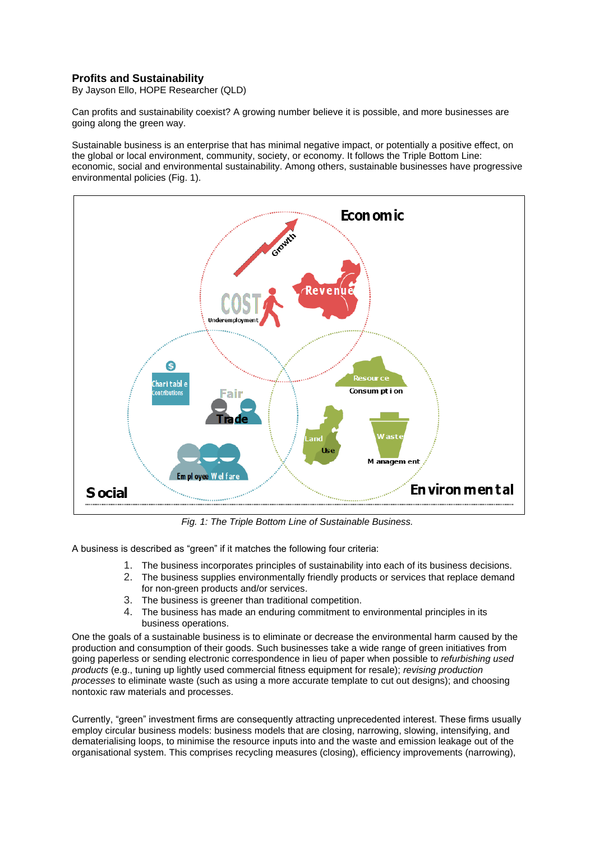## **Profits and Sustainability**

By Jayson Ello, HOPE Researcher (QLD)

Can profits and sustainability coexist? A growing number believe it is possible, and more businesses are going along the green way.

Sustainable business is an enterprise that has minimal negative impact, or potentially a positive effect, on the global or local environment, community, society, or economy. It follows the Triple Bottom Line: economic, social and environmental sustainability. Among others, sustainable businesses have progressive environmental policies (Fig. 1).



*Fig. 1: The Triple Bottom Line of Sustainable Business.*

A business is described as "green" if it matches the following four criteria:

- 1. The business incorporates principles of sustainability into each of its business decisions.
- 2. The business supplies environmentally friendly products or services that replace demand for non-green products and/or services.
- 3. The business is greener than traditional competition.
- 4. The business has made an enduring commitment to environmental principles in its business operations.

One the goals of a sustainable business is to eliminate or decrease the environmental harm caused by the production and consumption of their goods. Such businesses take a wide range of green initiatives from going paperless or sending electronic correspondence in lieu of paper when possible to *refurbishing used products* (e.g., tuning up lightly used commercial fitness equipment for resale); *revising production processes* to eliminate waste (such as using a more accurate template to cut out designs); and choosing nontoxic raw materials and processes.

Currently, "green" investment firms are consequently attracting unprecedented interest. These firms usually employ circular business models: business models that are closing, narrowing, slowing, intensifying, and dematerialising loops, to minimise the resource inputs into and the waste and emission leakage out of the organisational system. This comprises recycling measures (closing), efficiency improvements (narrowing),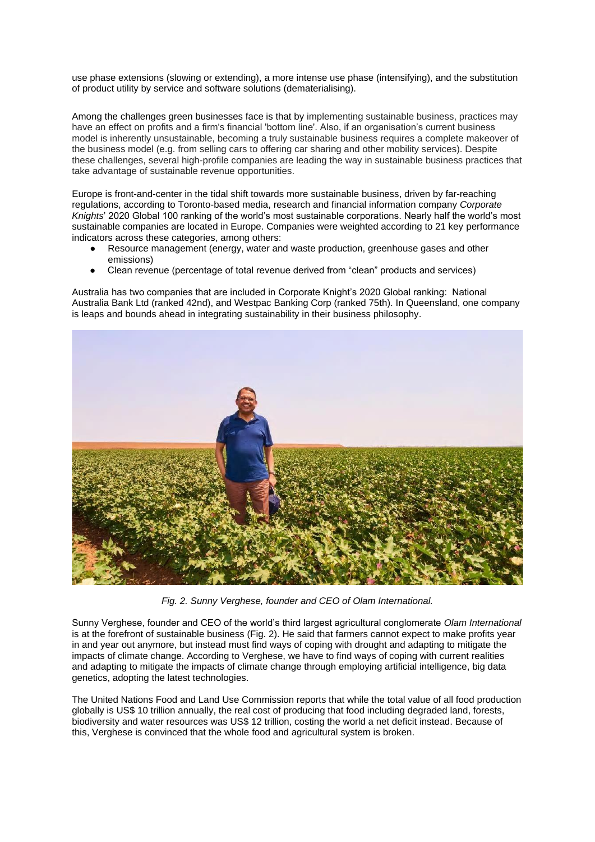use phase extensions (slowing or extending), a more intense use phase (intensifying), and the substitution of product utility by service and software solutions (dematerialising).

Among the challenges green businesses face is that by implementing sustainable business, practices may have an effect on profits and a firm's financial 'bottom line'. Also, if an organisation's current business model is inherently unsustainable, becoming a truly sustainable business requires a complete makeover of the business model (e.g. from selling cars to offering car sharing and other mobility services). Despite these challenges, several high-profile companies are leading the way in sustainable business practices that take advantage of sustainable revenue opportunities.

Europe is front-and-center in the tidal shift towards mor[e](https://www.visualcapitalist.com/rise-of-sustainable-investing/) [sustainable business,](https://www.visualcapitalist.com/rise-of-sustainable-investing/) driven by far-reaching regulations, according to Toronto-based media, research and financial information company *Corporate Knights*' 2020 Global 100 ranking of the world's most sustainable corporations. Nearly half the world's most sustainable companies are located in Europe. Companies were weighted according to 21 key performance indicators across these categories, among others:

- Resource management (energy, water and waste production, greenhouse gases and other emissions)
- Clean revenue (percentage of total revenue derived from "clean" products and services)

Australia has two companies that are included in Corporate Knight's 2020 Global ranking: National Australia Bank Ltd (ranked 42nd), and Westpac Banking Corp (ranked 75th). In Queensland, one company is leaps and bounds ahead in integrating sustainability in their business philosophy.



*Fig. 2. Sunny Verghese, founder and CEO of Olam International.* 

Sunny Verghese, founder and CEO of the world's third largest agricultural conglomerate *Olam International* is at the forefront of sustainable business (Fig. 2). He said that farmers cannot expect to make profits year in and year out anymore, but instead must find ways of coping with drought and adapting to mitigate the impacts of climate change. According to Verghese, we have to find ways of coping with current realities and adapting to mitigate the impacts of climate change through employing artificial intelligence, big data genetics, adopting the latest technologies.

The United Nations Food and Land Use Commission reports that while the total value of all food production globally is US\$ 10 trillion annually, the real cost of producing that food including degraded land, forests, biodiversity and water resources was US\$ 12 trillion, costing the world a net deficit instead. Because of this, Verghese is convinced that the whole food and agricultural system is broken.